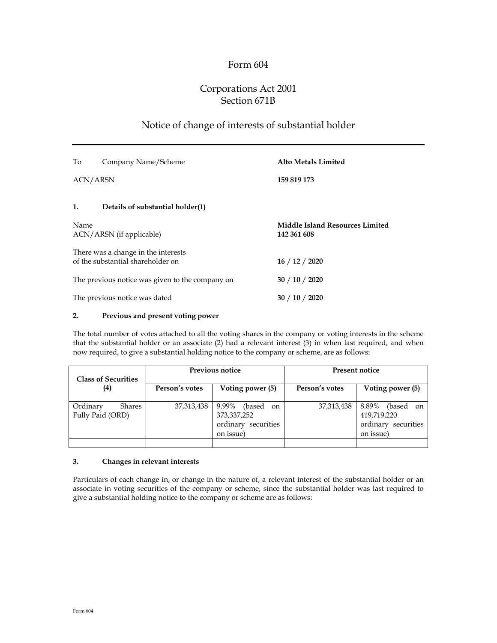## Form 604

# Corporations Act 2001 Section 671B

## Notice of change of interests of substantial holder

| To<br>Company Name/Scheme                                                | <b>Alto Metals Limited</b>                            |
|--------------------------------------------------------------------------|-------------------------------------------------------|
| <b>ACN/ARSN</b>                                                          | 159 819 173                                           |
| 1.<br>Details of substantial holder(1)                                   |                                                       |
| Name<br>ACN/ARSN (if applicable)                                         | <b>Middle Island Resources Limited</b><br>142 361 608 |
| There was a change in the interests<br>of the substantial shareholder on | 16/12/2020                                            |
| The previous notice was given to the company on                          | 30 / 10 / 2020                                        |
| The previous notice was dated                                            | 30 / 10 / 2020                                        |

#### **2. Previous and present voting power**

The total number of votes attached to all the voting shares in the company or voting interests in the scheme that the substantial holder or an associate (2) had a relevant interest (3) in when last required, and when now required, to give a substantial holding notice to the company or scheme, are as follows:

|                | Previous notice                                                           | Present notice |                                                                                      |  |
|----------------|---------------------------------------------------------------------------|----------------|--------------------------------------------------------------------------------------|--|
| Person's votes | Voting power (5)                                                          | Person's votes | Voting power (5)                                                                     |  |
| 37,313,438     | 9.99%<br>(based)<br>on<br>373,337,252<br>ordinary securities<br>on issue) | 37,313,438     | 8.89%<br>(based)<br><sub>on</sub><br>419,719,220<br>ordinary securities<br>on issue) |  |
|                |                                                                           |                |                                                                                      |  |

#### **3. Changes in relevant interests**

Particulars of each change in, or change in the nature of, a relevant interest of the substantial holder or an associate in voting securities of the company or scheme, since the substantial holder was last required to give a substantial holding notice to the company or scheme are as follows: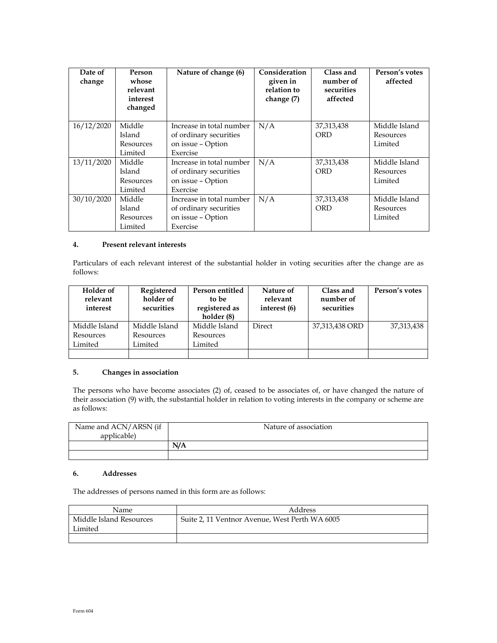| Date of<br>change | Person<br>whose<br>relevant<br>interest<br>changed | Nature of change (6)                                                                | Consideration<br>given in<br>relation to<br>change (7) | Class and<br>number of<br>securities<br>affected | Person's votes<br>affected            |
|-------------------|----------------------------------------------------|-------------------------------------------------------------------------------------|--------------------------------------------------------|--------------------------------------------------|---------------------------------------|
| 16/12/2020        | Middle<br>Island<br>Resources<br>Limited           | Increase in total number<br>of ordinary securities<br>on issue – Option<br>Exercise | N/A                                                    | 37,313,438<br><b>ORD</b>                         | Middle Island<br>Resources<br>Limited |
| 13/11/2020        | Middle<br>Island<br>Resources<br>Limited           | Increase in total number<br>of ordinary securities<br>on issue - Option<br>Exercise | N/A                                                    | 37,313,438<br>ORD                                | Middle Island<br>Resources<br>Limited |
| 30/10/2020        | Middle<br>Island<br>Resources<br>Limited           | Increase in total number<br>of ordinary securities<br>on issue - Option<br>Exercise | N/A                                                    | 37, 313, 438<br>ORD                              | Middle Island<br>Resources<br>Limited |

#### **4. Present relevant interests**

Particulars of each relevant interest of the substantial holder in voting securities after the change are as follows:

| <b>Holder</b> of<br>relevant<br>interest | Registered<br>holder of<br>securities | Person entitled<br>to be<br>registered as<br>holder (8) | Nature of<br>relevant<br>interest (6) | Class and<br>number of<br>securities | Person's votes |
|------------------------------------------|---------------------------------------|---------------------------------------------------------|---------------------------------------|--------------------------------------|----------------|
| Middle Island                            | Middle Island                         | Middle Island                                           | Direct                                | 37,313,438 ORD                       | 37,313,438     |
| Resources                                | Resources                             | Resources                                               |                                       |                                      |                |
| Limited                                  | Limited                               | Limited                                                 |                                       |                                      |                |
|                                          |                                       |                                                         |                                       |                                      |                |

### **5. Changes in association**

The persons who have become associates (2) of, ceased to be associates of, or have changed the nature of their association (9) with, the substantial holder in relation to voting interests in the company or scheme are as follows:

| Name and ACN/ARSN (if<br>applicable) | Nature of association |  |
|--------------------------------------|-----------------------|--|
|                                      | N/A                   |  |
|                                      |                       |  |

#### **6. Addresses**

The addresses of persons named in this form are as follows:

| Name                               | Address                                        |
|------------------------------------|------------------------------------------------|
| Middle Island Resources<br>Limited | Suite 2, 11 Ventnor Avenue, West Perth WA 6005 |
|                                    |                                                |